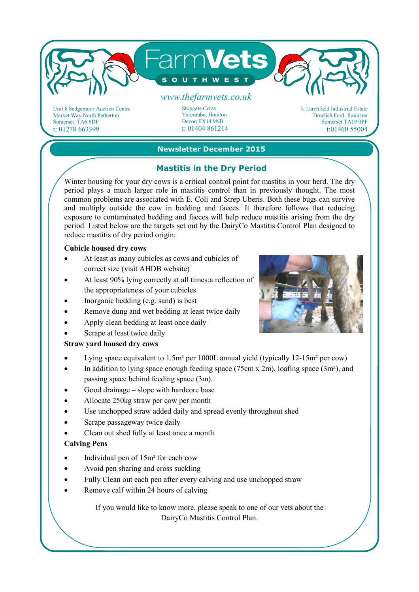

Unit 8 Sedgemoor Auction Centre Market Way North Petherton Somerset TA6 6DF t: 01278 663399

Stopgate Cross Yarcombe, Honiton Devon EX14 9NB t: 01404 861214 5, Larchfield Industrial Estate Dowlish Ford, Ilminster Somerset TA19 0PF t:01460 55004

## **Newsletter December 2015**

# **Mastitis in the Dry Period**

Winter housing for your dry cows is a critical control point for mastitis in your herd. The dry period plays a much larger role in mastitis control than in previously thought. The most common problems are associated with E. Coli and Strep Uberis. Both these bugs can survive and multiply outside the cow in bedding and faeces. It therefore follows that reducing exposure to contaminated bedding and faeces will help reduce mastitis arising from the dry period. Listed below are the targets set out by the DairyCo Mastitis Control Plan designed to reduce mastitis of dry period origin:

#### **Cubicle housed dry cows**

- At least as many cubicles as cows and cubicles of correct size (visit AHDB website)
- At least 90% lying correctly at all times: a reflection of the appropriateness of your cubicles
- Inorganic bedding (e.g. sand) is best
- Remove dung and wet bedding at least twice daily
- Apply clean bedding at least once daily
- Scrape at least twice daily

### **Straw yard housed dry cows**

- Lying space equivalent to  $1.5m^2$  per 1000L annual yield (typically  $12-15m^2$  per cow)
- In addition to lying space enough feeding space (75cm x 2m), loafing space (3m<sup>2</sup>), and passing space behind feeding space (3m).
- Good drainage slope with hardcore base
- Allocate 250kg straw per cow per month
- Use unchopped straw added daily and spread evenly throughout shed
- Scrape passageway twice daily
- Clean out shed fully at least once a month

#### **Calving Pens**

- Individual pen of 15m² for each cow
- Avoid pen sharing and cross suckling
- Fully Clean out each pen after every calving and use unchopped straw
- Remove calf within 24 hours of calving

If you would like to know more, please speak to one of our vets about the DairyCo Mastitis Control Plan.